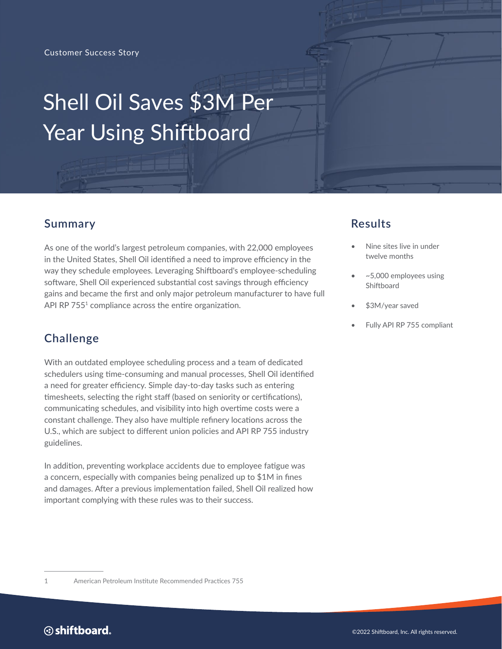# **Shell Oil Saves \$3M Per**  $U$ sing Shift $U$ s staffs more effects more attention to each client. Providing even more attention to each client. Shell Oil Saves \$3M Per Year Using Shiftboard

#### **Summary**

As one of the world's largest petroleum companies, with 22,000 employees in the United States, Shell Oil identified a need to improve efficiency in the way they schedule employees. Leveraging Shiftboard's employee-scheduling software, Shell Oil experienced substantial cost savings through efficiency gains and became the first and only major petroleum manufacturer to have full API RP 755<sup>1</sup> compliance across the entire organization.

# **Challenge**

With an outdated employee scheduling process and a team of dedicated schedulers using time-consuming and manual processes, Shell Oil identified a need for greater efficiency. Simple day-to-day tasks such as entering timesheets, selecting the right staff (based on seniority or certifications), communicating schedules, and visibility into high overtime costs were a constant challenge. They also have multiple refinery locations across the U.S., which are subject to different union policies and API RP 755 industry guidelines.

In addition, preventing workplace accidents due to employee fatigue was a concern, especially with companies being penalized up to \$1M in fines and damages. After a previous implementation failed, Shell Oil realized how important complying with these rules was to their success.

# **Results**

- Nine sites live in under twelve months
- ~5,000 employees using Shiftboard
- \$3M/year saved
- Fully API RP 755 compliant

<sup>1</sup> American Petroleum Institute Recommended Practices 755